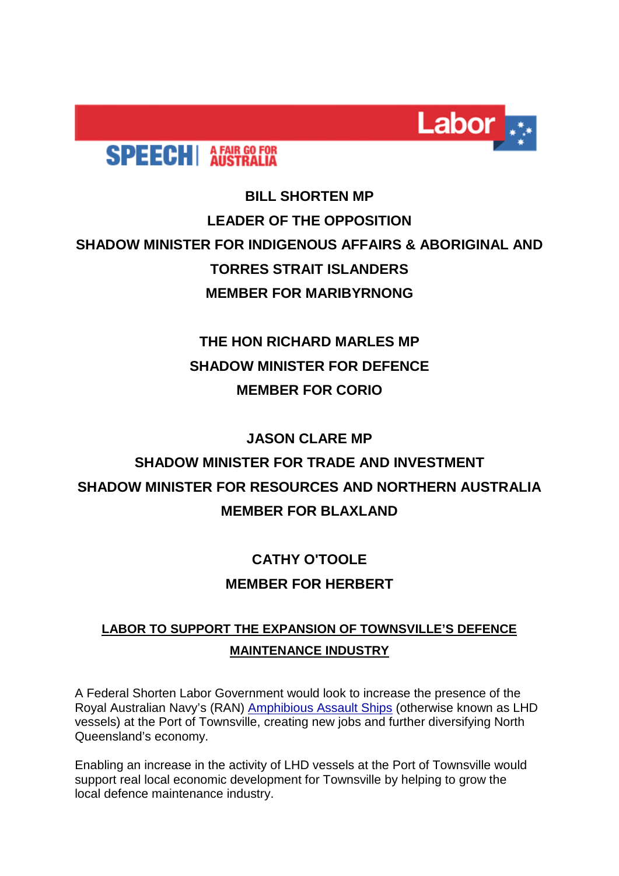

# **SPEECH** AFAIR GO FOR

### **BILL SHORTEN MP LEADER OF THE OPPOSITION SHADOW MINISTER FOR INDIGENOUS AFFAIRS & ABORIGINAL AND TORRES STRAIT ISLANDERS MEMBER FOR MARIBYRNONG**

### **THE HON RICHARD MARLES MP SHADOW MINISTER FOR DEFENCE MEMBER FOR CORIO**

#### **JASON CLARE MP**

## **SHADOW MINISTER FOR TRADE AND INVESTMENT SHADOW MINISTER FOR RESOURCES AND NORTHERN AUSTRALIA MEMBER FOR BLAXLAND**

### **CATHY O'TOOLE MEMBER FOR HERBERT**

### **LABOR TO SUPPORT THE EXPANSION OF TOWNSVILLE'S DEFENCE MAINTENANCE INDUSTRY**

A Federal Shorten Labor Government would look to increase the presence of the Royal Australian Navy's (RAN) [Amphibious Assault Ships](https://alp.us12.list-manage.com/track/click?u=942ebc4c1cf8fc522a4f4c50e&id=dfb664a15f&e=e4ecab6e8b) (otherwise known as LHD vessels) at the Port of Townsville, creating new jobs and further diversifying North Queensland's economy.

Enabling an increase in the activity of LHD vessels at the Port of Townsville would support real local economic development for Townsville by helping to grow the local defence maintenance industry.